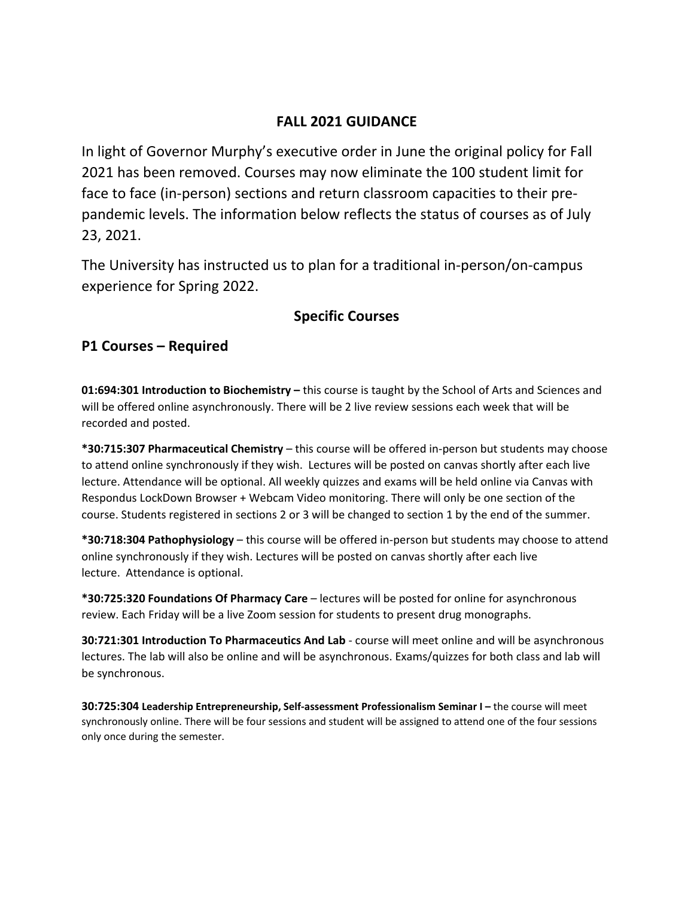## **FALL 2021 GUIDANCE**

In light of Governor Murphy's executive order in June the original policy for Fall 2021 has been removed. Courses may now eliminate the 100 student limit for face to face (in‐person) sections and return classroom capacities to their pre‐ pandemic levels. The information below reflects the status of courses as of July 23, 2021.

The University has instructed us to plan for a traditional in‐person/on‐campus experience for Spring 2022.

## **Specific Courses**

### **P1 Courses – Required**

**01:694:301 Introduction to Biochemistry –** this course is taught by the School of Arts and Sciences and will be offered online asynchronously. There will be 2 live review sessions each week that will be recorded and posted.

**\*30:715:307 Pharmaceutical Chemistry** – this course will be offered in‐person but students may choose to attend online synchronously if they wish. Lectures will be posted on canvas shortly after each live lecture. Attendance will be optional. All weekly quizzes and exams will be held online via Canvas with Respondus LockDown Browser + Webcam Video monitoring. There will only be one section of the course. Students registered in sections 2 or 3 will be changed to section 1 by the end of the summer.

**\*30:718:304 Pathophysiology** – this course will be offered in‐person but students may choose to attend online synchronously if they wish. Lectures will be posted on canvas shortly after each live lecture. Attendance is optional.

**\*30:725:320 Foundations Of Pharmacy Care** – lectures will be posted for online for asynchronous review. Each Friday will be a live Zoom session for students to present drug monographs.

**30:721:301 Introduction To Pharmaceutics And Lab** ‐ course will meet online and will be asynchronous lectures. The lab will also be online and will be asynchronous. Exams/quizzes for both class and lab will be synchronous.

**30:725:304 Leadership Entrepreneurship, Self‐assessment Professionalism Seminar I –** the course will meet synchronously online. There will be four sessions and student will be assigned to attend one of the four sessions only once during the semester.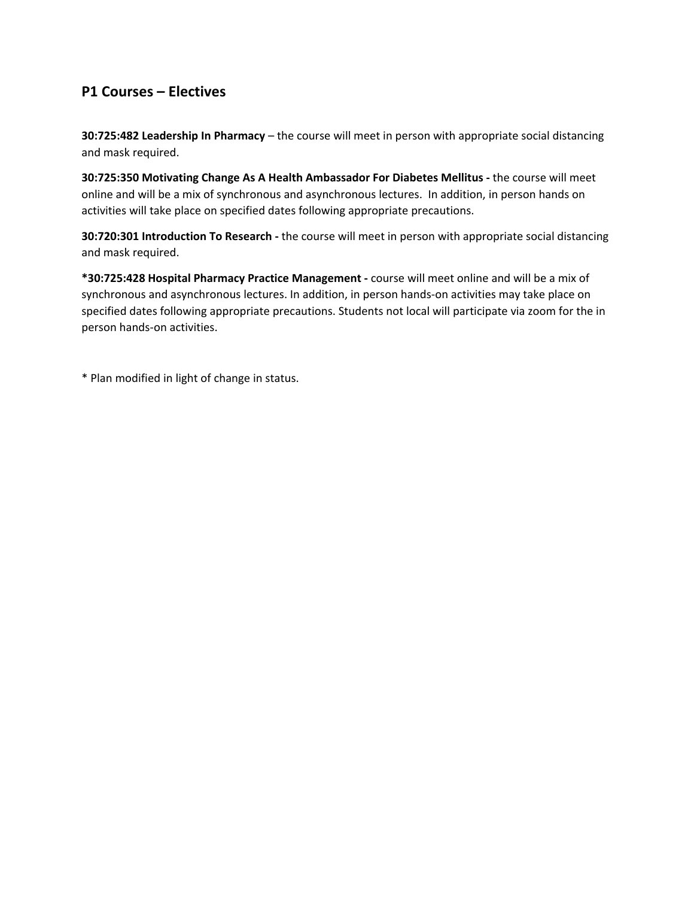## **P1 Courses – Electives**

**30:725:482 Leadership In Pharmacy** – the course will meet in person with appropriate social distancing and mask required.

**30:725:350 Motivating Change As A Health Ambassador For Diabetes Mellitus ‐** the course will meet online and will be a mix of synchronous and asynchronous lectures. In addition, in person hands on activities will take place on specified dates following appropriate precautions.

**30:720:301 Introduction To Research ‐** the course will meet in person with appropriate social distancing and mask required.

**\*30:725:428 Hospital Pharmacy Practice Management ‐** course will meet online and will be a mix of synchronous and asynchronous lectures. In addition, in person hands-on activities may take place on specified dates following appropriate precautions. Students not local will participate via zoom for the in person hands‐on activities.

\* Plan modified in light of change in status.